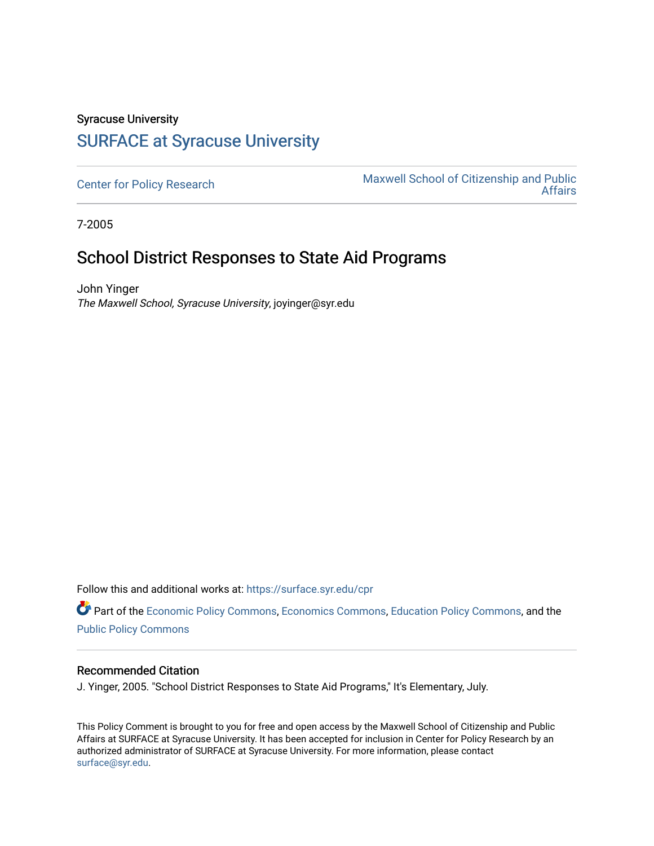## Syracuse University [SURFACE at Syracuse University](https://surface.syr.edu/)

[Center for Policy Research](https://surface.syr.edu/cpr) Maxwell School of Citizenship and Public<br>Affairs [Affairs](https://surface.syr.edu/maxwell) 

7-2005

## School District Responses to State Aid Programs

John Yinger The Maxwell School, Syracuse University, joyinger@syr.edu

Follow this and additional works at: [https://surface.syr.edu/cpr](https://surface.syr.edu/cpr?utm_source=surface.syr.edu%2Fcpr%2F338&utm_medium=PDF&utm_campaign=PDFCoverPages) 

Part of the [Economic Policy Commons](http://network.bepress.com/hgg/discipline/1025?utm_source=surface.syr.edu%2Fcpr%2F338&utm_medium=PDF&utm_campaign=PDFCoverPages), [Economics Commons,](http://network.bepress.com/hgg/discipline/340?utm_source=surface.syr.edu%2Fcpr%2F338&utm_medium=PDF&utm_campaign=PDFCoverPages) [Education Policy Commons](http://network.bepress.com/hgg/discipline/1026?utm_source=surface.syr.edu%2Fcpr%2F338&utm_medium=PDF&utm_campaign=PDFCoverPages), and the [Public Policy Commons](http://network.bepress.com/hgg/discipline/400?utm_source=surface.syr.edu%2Fcpr%2F338&utm_medium=PDF&utm_campaign=PDFCoverPages)

## Recommended Citation

J. Yinger, 2005. "School District Responses to State Aid Programs," It's Elementary, July.

This Policy Comment is brought to you for free and open access by the Maxwell School of Citizenship and Public Affairs at SURFACE at Syracuse University. It has been accepted for inclusion in Center for Policy Research by an authorized administrator of SURFACE at Syracuse University. For more information, please contact [surface@syr.edu.](mailto:surface@syr.edu)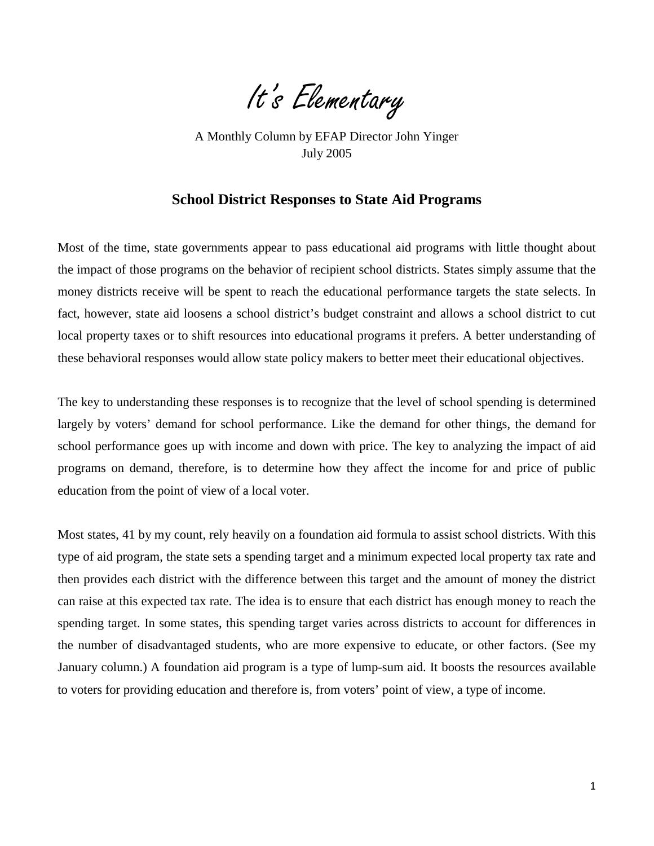It's Elementary

 July 2005 A Monthly Column by EFAP Director John Yinger

## **School District Responses to State Aid Programs**

Most of the time, state governments appear to pass educational aid programs with little thought about the impact of those programs on the behavior of recipient school districts. States simply assume that the money districts receive will be spent to reach the educational performance targets the state selects. In fact, however, state aid loosens a school district's budget constraint and allows a school district to cut local property taxes or to shift resources into educational programs it prefers. A better understanding of these behavioral responses would allow state policy makers to better meet their educational objectives.

The key to understanding these responses is to recognize that the level of school spending is determined largely by voters' demand for school performance. Like the demand for other things, the demand for school performance goes up with income and down with price. The key to analyzing the impact of aid programs on demand, therefore, is to determine how they affect the income for and price of public education from the point of view of a local voter.

Most states, 41 by my count, rely heavily on a foundation aid formula to assist school districts. With this type of aid program, the state sets a spending target and a minimum expected local property tax rate and then provides each district with the difference between this target and the amount of money the district can raise at this expected tax rate. The idea is to ensure that each district has enough money to reach the spending target. In some states, this spending target varies across districts to account for differences in the number of disadvantaged students, who are more expensive to educate, or other factors. (See my January column.) A foundation aid program is a type of lump-sum aid. It boosts the resources available to voters for providing education and therefore is, from voters' point of view, a type of income.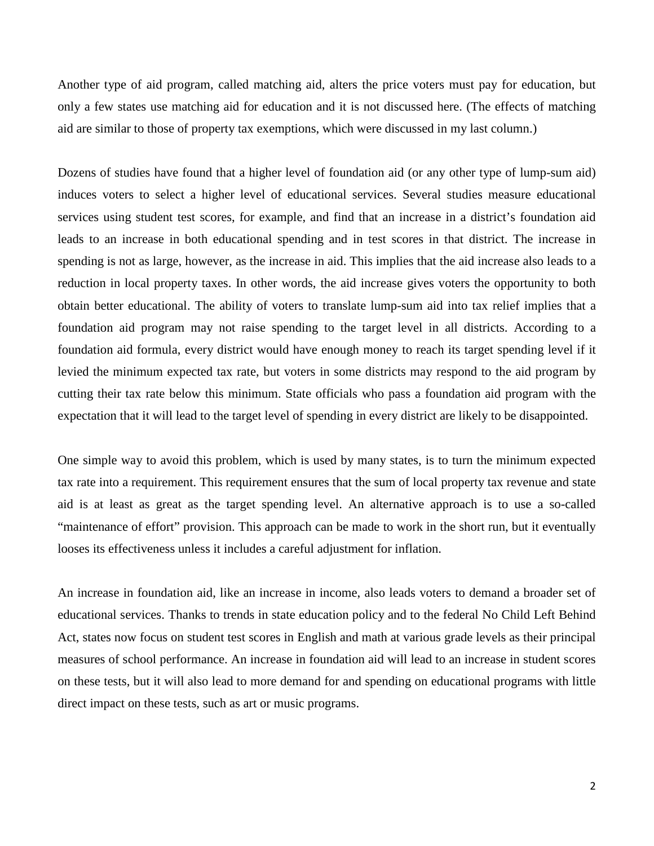Another type of aid program, called matching aid, alters the price voters must pay for education, but only a few states use matching aid for education and it is not discussed here. (The effects of matching aid are similar to those of property tax exemptions, which were discussed in my last column.)

Dozens of studies have found that a higher level of foundation aid (or any other type of lump-sum aid) induces voters to select a higher level of educational services. Several studies measure educational services using student test scores, for example, and find that an increase in a district's foundation aid leads to an increase in both educational spending and in test scores in that district. The increase in spending is not as large, however, as the increase in aid. This implies that the aid increase also leads to a reduction in local property taxes. In other words, the aid increase gives voters the opportunity to both obtain better educational. The ability of voters to translate lump-sum aid into tax relief implies that a foundation aid program may not raise spending to the target level in all districts. According to a foundation aid formula, every district would have enough money to reach its target spending level if it levied the minimum expected tax rate, but voters in some districts may respond to the aid program by cutting their tax rate below this minimum. State officials who pass a foundation aid program with the expectation that it will lead to the target level of spending in every district are likely to be disappointed.

One simple way to avoid this problem, which is used by many states, is to turn the minimum expected tax rate into a requirement. This requirement ensures that the sum of local property tax revenue and state aid is at least as great as the target spending level. An alternative approach is to use a so-called "maintenance of effort" provision. This approach can be made to work in the short run, but it eventually looses its effectiveness unless it includes a careful adjustment for inflation.

An increase in foundation aid, like an increase in income, also leads voters to demand a broader set of educational services. Thanks to trends in state education policy and to the federal No Child Left Behind Act, states now focus on student test scores in English and math at various grade levels as their principal measures of school performance. An increase in foundation aid will lead to an increase in student scores on these tests, but it will also lead to more demand for and spending on educational programs with little direct impact on these tests, such as art or music programs.